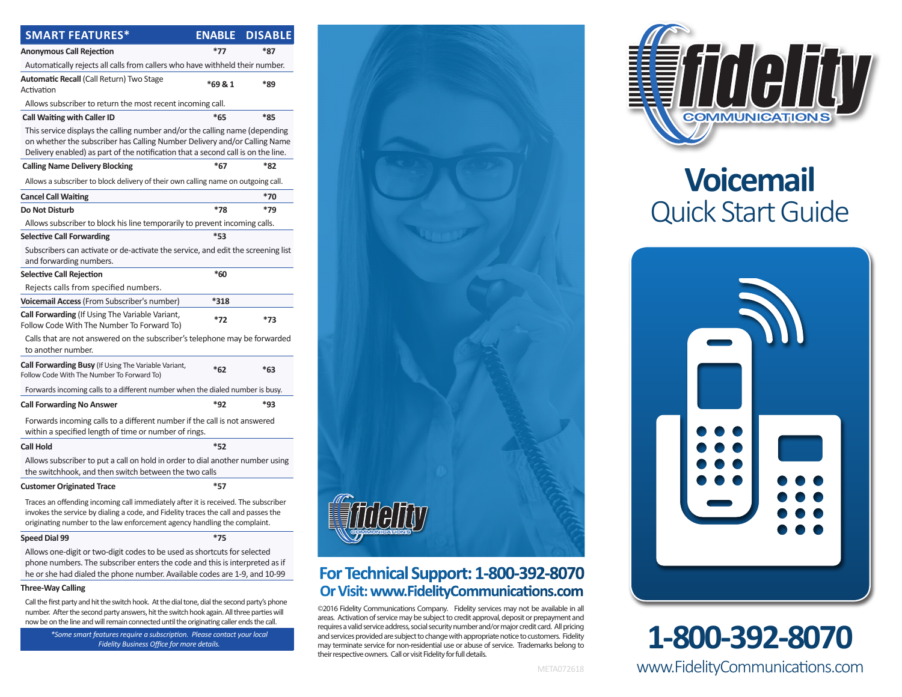| <b>SMART FEATURES*</b>                                                                                                                                                                                                                               | <b>ENABLE</b> | <b>DISABLE</b> |
|------------------------------------------------------------------------------------------------------------------------------------------------------------------------------------------------------------------------------------------------------|---------------|----------------|
| <b>Anonymous Call Rejection</b>                                                                                                                                                                                                                      | $*77$         | *87            |
| Automatically rejects all calls from callers who have withheld their number.                                                                                                                                                                         |               |                |
| Automatic Recall (Call Return) Two Stage                                                                                                                                                                                                             |               |                |
| Activation                                                                                                                                                                                                                                           | *69 & 1       | *89            |
| Allows subscriber to return the most recent incoming call.                                                                                                                                                                                           |               |                |
| <b>Call Waiting with Caller ID</b>                                                                                                                                                                                                                   | *65           | *85            |
| This service displays the calling number and/or the calling name (depending<br>on whether the subscriber has Calling Number Delivery and/or Calling Name<br>Delivery enabled) as part of the notification that a second call is on the line.         |               |                |
| <b>Calling Name Delivery Blocking</b>                                                                                                                                                                                                                | $*67$         | *82            |
| Allows a subscriber to block delivery of their own calling name on outgoing call.                                                                                                                                                                    |               |                |
| <b>Cancel Call Waiting</b>                                                                                                                                                                                                                           |               | $*70$          |
| <b>Do Not Disturb</b>                                                                                                                                                                                                                                | $*78$         | $*79$          |
| Allows subscriber to block his line temporarily to prevent incoming calls.                                                                                                                                                                           |               |                |
| <b>Selective Call Forwarding</b>                                                                                                                                                                                                                     | $*_{53}$      |                |
| Subscribers can activate or de-activate the service, and edit the screening list<br>and forwarding numbers.                                                                                                                                          |               |                |
| <b>Selective Call Rejection</b>                                                                                                                                                                                                                      | *60           |                |
| Rejects calls from specified numbers.                                                                                                                                                                                                                |               |                |
| Voicemail Access (From Subscriber's number)                                                                                                                                                                                                          | *318          |                |
| Call Forwarding (If Using The Variable Variant,<br>Follow Code With The Number To Forward To)                                                                                                                                                        | $*72$         | *73            |
| Calls that are not answered on the subscriber's telephone may be forwarded<br>to another number.                                                                                                                                                     |               |                |
| Call Forwarding Busy (If Using The Variable Variant,<br>Follow Code With The Number To Forward To)                                                                                                                                                   | $*62$         | $*63$          |
| Forwards incoming calls to a different number when the dialed number is busy.                                                                                                                                                                        |               |                |
| <b>Call Forwarding No Answer</b>                                                                                                                                                                                                                     | *92           | *93            |
| Forwards incoming calls to a different number if the call is not answered<br>within a specified length of time or number of rings.                                                                                                                   |               |                |
| Call Hold                                                                                                                                                                                                                                            | $*52$         |                |
| Allows subscriber to put a call on hold in order to dial another number using<br>the switchhook, and then switch between the two calls                                                                                                               |               |                |
| <b>Customer Originated Trace</b>                                                                                                                                                                                                                     | $*57$         |                |
| Traces an offending incoming call immediately after it is received. The subscriber<br>invokes the service by dialing a code, and Fidelity traces the call and passes the<br>originating number to the law enforcement agency handling the complaint. |               |                |
| <b>Speed Dial 99</b>                                                                                                                                                                                                                                 | $*75$         |                |
| Allows one-digit or two-digit codes to be used as shortcuts for selected                                                                                                                                                                             |               |                |

phone numbers. The subscriber enters the code and this is interpreted as if he or she had dialed the phone number. Available codes are 1-9, and 10-99

#### **Three-Way Calling**

Call the first party and hit the switch hook. At the dial tone, dial the second party's phone number. After the second party answers, hit the switch hook again. All three parties will now be on the line and will remain connected until the originating caller ends the call.

*\*Some smart features require a subscription. Please contact your local*



## **For Technical Support: 1-800-392-8070 Or Visit: www.FidelityCommunications.com**

*Fectures require a subscription. Please contact your local*<br>
Fidelity Business Office for more details.<br>
Fidelity Business Office for more details.<br> **Fidelity Business Office for more details.** ©2016 Fidelity Communications Company. Fidelity services may not be available in all areas. Activation of service may be subject to credit approval, deposit or prepayment and requires a valid service address, social security number and/or major credit card. All pricing and services provided are subject to change with appropriate notice to customers. Fidelity may terminate service for non-residential use or abuse of service. Trademarks belong to their respective owners. Call or visit Fidelity for full details.



# **Voicemail** Quick Start Guide



# www.FidelityCommunications.com